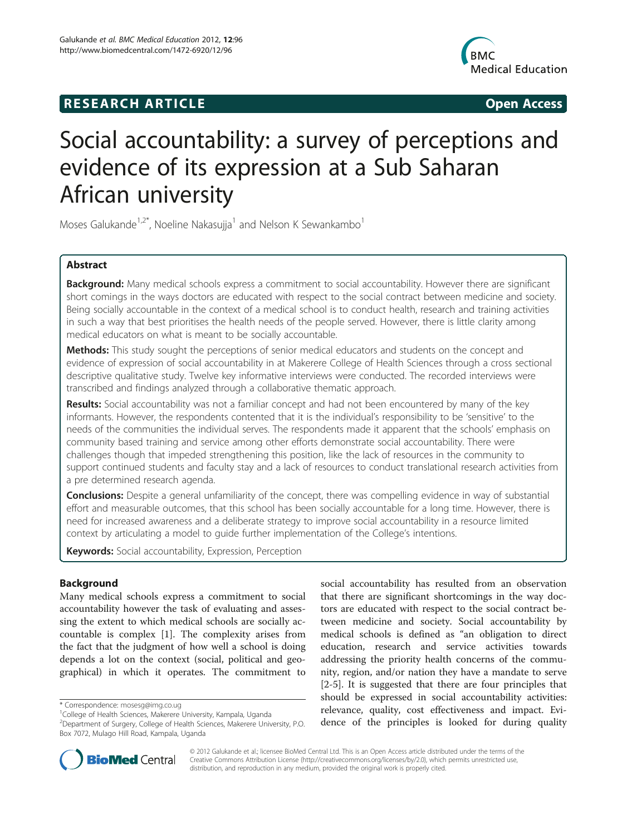## **RESEARCH ARTICLE Example 2018 12:00 Open Access**



# Social accountability: a survey of perceptions and evidence of its expression at a Sub Saharan African university

Moses Galukande<sup>1,2\*</sup>, Noeline Nakasujja<sup>1</sup> and Nelson K Sewankambo<sup>1</sup>

### Abstract

Background: Many medical schools express a commitment to social accountability. However there are significant short comings in the ways doctors are educated with respect to the social contract between medicine and society. Being socially accountable in the context of a medical school is to conduct health, research and training activities in such a way that best prioritises the health needs of the people served. However, there is little clarity among medical educators on what is meant to be socially accountable.

Methods: This study sought the perceptions of senior medical educators and students on the concept and evidence of expression of social accountability in at Makerere College of Health Sciences through a cross sectional descriptive qualitative study. Twelve key informative interviews were conducted. The recorded interviews were transcribed and findings analyzed through a collaborative thematic approach.

Results: Social accountability was not a familiar concept and had not been encountered by many of the key informants. However, the respondents contented that it is the individual's responsibility to be 'sensitive' to the needs of the communities the individual serves. The respondents made it apparent that the schools' emphasis on community based training and service among other efforts demonstrate social accountability. There were challenges though that impeded strengthening this position, like the lack of resources in the community to support continued students and faculty stay and a lack of resources to conduct translational research activities from a pre determined research agenda.

**Conclusions:** Despite a general unfamiliarity of the concept, there was compelling evidence in way of substantial effort and measurable outcomes, that this school has been socially accountable for a long time. However, there is need for increased awareness and a deliberate strategy to improve social accountability in a resource limited context by articulating a model to guide further implementation of the College's intentions.

Keywords: Social accountability, Expression, Perception

### Background

Many medical schools express a commitment to social accountability however the task of evaluating and assessing the extent to which medical schools are socially accountable is complex [\[1](#page-5-0)]. The complexity arises from the fact that the judgment of how well a school is doing depends a lot on the context (social, political and geographical) in which it operates. The commitment to

social accountability has resulted from an observation that there are significant shortcomings in the way doctors are educated with respect to the social contract between medicine and society. Social accountability by medical schools is defined as "an obligation to direct education, research and service activities towards addressing the priority health concerns of the community, region, and/or nation they have a mandate to serve [[2-5](#page-5-0)]. It is suggested that there are four principles that should be expressed in social accountability activities: relevance, quality, cost effectiveness and impact. Evidence of the principles is looked for during quality



© 2012 Galukande et al.; licensee BioMed Central Ltd. This is an Open Access article distributed under the terms of the Creative Commons Attribution License (<http://creativecommons.org/licenses/by/2.0>), which permits unrestricted use, distribution, and reproduction in any medium, provided the original work is properly cited.

<sup>\*</sup> Correspondence: [mosesg@img.co.ug](mailto:mosesg@img.co.ug) <sup>1</sup>

<sup>&</sup>lt;sup>1</sup>College of Health Sciences, Makerere University, Kampala, Uganda

<sup>2</sup> Department of Surgery, College of Health Sciences, Makerere University, P.O. Box 7072, Mulago Hill Road, Kampala, Uganda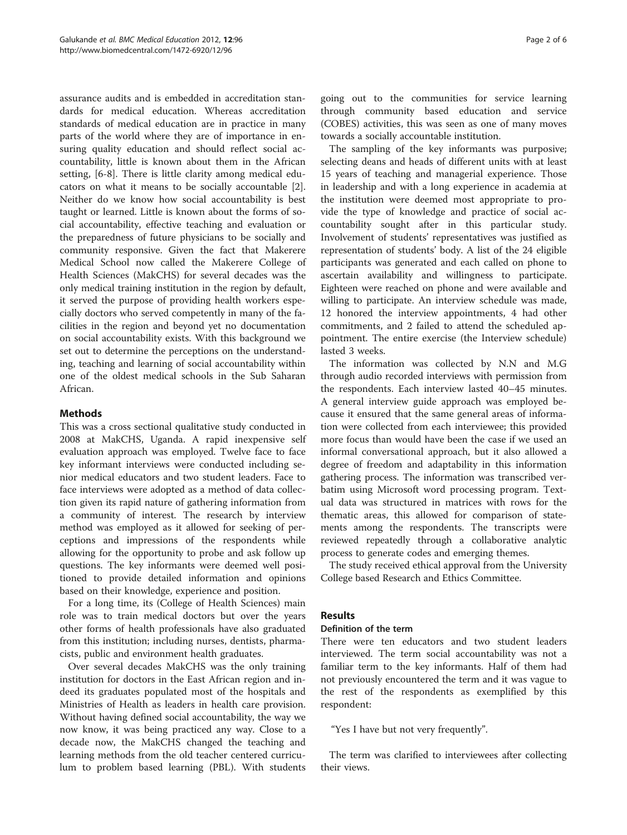assurance audits and is embedded in accreditation standards for medical education. Whereas accreditation standards of medical education are in practice in many parts of the world where they are of importance in ensuring quality education and should reflect social accountability, little is known about them in the African setting, [\[6](#page-5-0)-[8\]](#page-5-0). There is little clarity among medical educators on what it means to be socially accountable [\[2](#page-5-0)]. Neither do we know how social accountability is best taught or learned. Little is known about the forms of social accountability, effective teaching and evaluation or the preparedness of future physicians to be socially and community responsive. Given the fact that Makerere Medical School now called the Makerere College of Health Sciences (MakCHS) for several decades was the only medical training institution in the region by default, it served the purpose of providing health workers especially doctors who served competently in many of the facilities in the region and beyond yet no documentation on social accountability exists. With this background we set out to determine the perceptions on the understanding, teaching and learning of social accountability within one of the oldest medical schools in the Sub Saharan African.

#### **Methods**

This was a cross sectional qualitative study conducted in 2008 at MakCHS, Uganda. A rapid inexpensive self evaluation approach was employed. Twelve face to face key informant interviews were conducted including senior medical educators and two student leaders. Face to face interviews were adopted as a method of data collection given its rapid nature of gathering information from a community of interest. The research by interview method was employed as it allowed for seeking of perceptions and impressions of the respondents while allowing for the opportunity to probe and ask follow up questions. The key informants were deemed well positioned to provide detailed information and opinions based on their knowledge, experience and position.

For a long time, its (College of Health Sciences) main role was to train medical doctors but over the years other forms of health professionals have also graduated from this institution; including nurses, dentists, pharmacists, public and environment health graduates.

Over several decades MakCHS was the only training institution for doctors in the East African region and indeed its graduates populated most of the hospitals and Ministries of Health as leaders in health care provision. Without having defined social accountability, the way we now know, it was being practiced any way. Close to a decade now, the MakCHS changed the teaching and learning methods from the old teacher centered curriculum to problem based learning (PBL). With students going out to the communities for service learning through community based education and service (COBES) activities, this was seen as one of many moves towards a socially accountable institution.

The sampling of the key informants was purposive; selecting deans and heads of different units with at least 15 years of teaching and managerial experience. Those in leadership and with a long experience in academia at the institution were deemed most appropriate to provide the type of knowledge and practice of social accountability sought after in this particular study. Involvement of students' representatives was justified as representation of students' body. A list of the 24 eligible participants was generated and each called on phone to ascertain availability and willingness to participate. Eighteen were reached on phone and were available and willing to participate. An interview schedule was made, 12 honored the interview appointments, 4 had other commitments, and 2 failed to attend the scheduled appointment. The entire exercise (the Interview schedule) lasted 3 weeks.

The information was collected by N.N and M.G through audio recorded interviews with permission from the respondents. Each interview lasted 40–45 minutes. A general interview guide approach was employed because it ensured that the same general areas of information were collected from each interviewee; this provided more focus than would have been the case if we used an informal conversational approach, but it also allowed a degree of freedom and adaptability in this information gathering process. The information was transcribed verbatim using Microsoft word processing program. Textual data was structured in matrices with rows for the thematic areas, this allowed for comparison of statements among the respondents. The transcripts were reviewed repeatedly through a collaborative analytic process to generate codes and emerging themes.

The study received ethical approval from the University College based Research and Ethics Committee.

#### Results

#### Definition of the term

There were ten educators and two student leaders interviewed. The term social accountability was not a familiar term to the key informants. Half of them had not previously encountered the term and it was vague to the rest of the respondents as exemplified by this respondent:

"Yes I have but not very frequently".

The term was clarified to interviewees after collecting their views.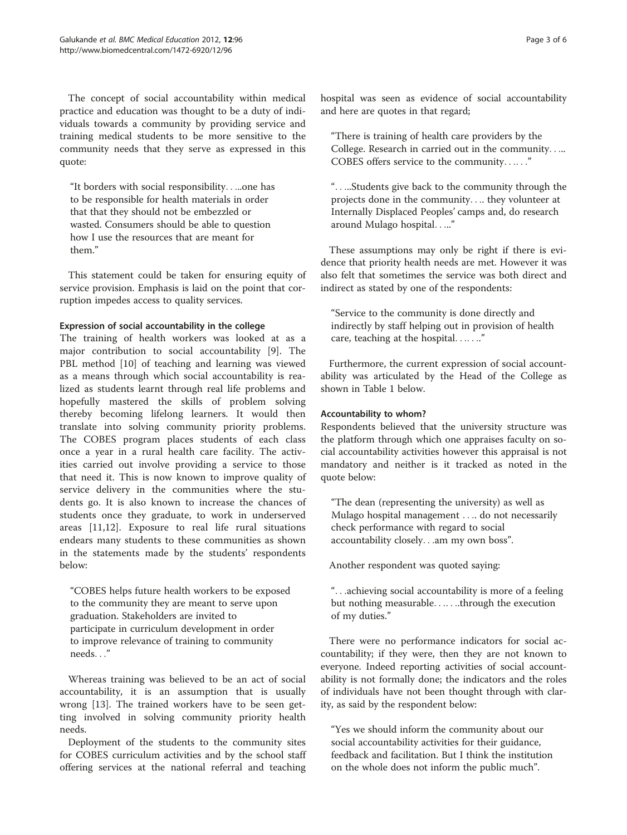The concept of social accountability within medical practice and education was thought to be a duty of individuals towards a community by providing service and training medical students to be more sensitive to the community needs that they serve as expressed in this quote:

"It borders with social responsibility.....one has to be responsible for health materials in order that that they should not be embezzled or wasted. Consumers should be able to question how I use the resources that are meant for them."

This statement could be taken for ensuring equity of service provision. Emphasis is laid on the point that corruption impedes access to quality services.

#### Expression of social accountability in the college

The training of health workers was looked at as a major contribution to social accountability [\[9](#page-5-0)]. The PBL method [[10\]](#page-5-0) of teaching and learning was viewed as a means through which social accountability is realized as students learnt through real life problems and hopefully mastered the skills of problem solving thereby becoming lifelong learners. It would then translate into solving community priority problems. The COBES program places students of each class once a year in a rural health care facility. The activities carried out involve providing a service to those that need it. This is now known to improve quality of service delivery in the communities where the students go. It is also known to increase the chances of students once they graduate, to work in underserved areas [[11,12\]](#page-5-0). Exposure to real life rural situations endears many students to these communities as shown in the statements made by the students' respondents below:

"COBES helps future health workers to be exposed to the community they are meant to serve upon graduation. Stakeholders are invited to participate in curriculum development in order to improve relevance of training to community needs..."

Whereas training was believed to be an act of social accountability, it is an assumption that is usually wrong [\[13](#page-5-0)]. The trained workers have to be seen getting involved in solving community priority health needs.

Deployment of the students to the community sites for COBES curriculum activities and by the school staff offering services at the national referral and teaching

hospital was seen as evidence of social accountability and here are quotes in that regard;

"There is training of health care providers by the College. Research in carried out in the community..... COBES offers service to the community. . .. . ."

".....Students give back to the community through the projects done in the community.... they volunteer at Internally Displaced Peoples' camps and, do research around Mulago hospital....."

These assumptions may only be right if there is evidence that priority health needs are met. However it was also felt that sometimes the service was both direct and indirect as stated by one of the respondents:

"Service to the community is done directly and indirectly by staff helping out in provision of health care, teaching at the hospital. . .. . .."

Furthermore, the current expression of social accountability was articulated by the Head of the College as shown in Table [1](#page-3-0) below.

#### Accountability to whom?

Respondents believed that the university structure was the platform through which one appraises faculty on social accountability activities however this appraisal is not mandatory and neither is it tracked as noted in the quote below:

"The dean (representing the university) as well as Mulago hospital management .... do not necessarily check performance with regard to social accountability closely...am my own boss".

Another respondent was quoted saying:

"...achieving social accountability is more of a feeling but nothing measurable. . .. . ..through the execution of my duties."

There were no performance indicators for social accountability; if they were, then they are not known to everyone. Indeed reporting activities of social accountability is not formally done; the indicators and the roles of individuals have not been thought through with clarity, as said by the respondent below:

"Yes we should inform the community about our social accountability activities for their guidance, feedback and facilitation. But I think the institution on the whole does not inform the public much".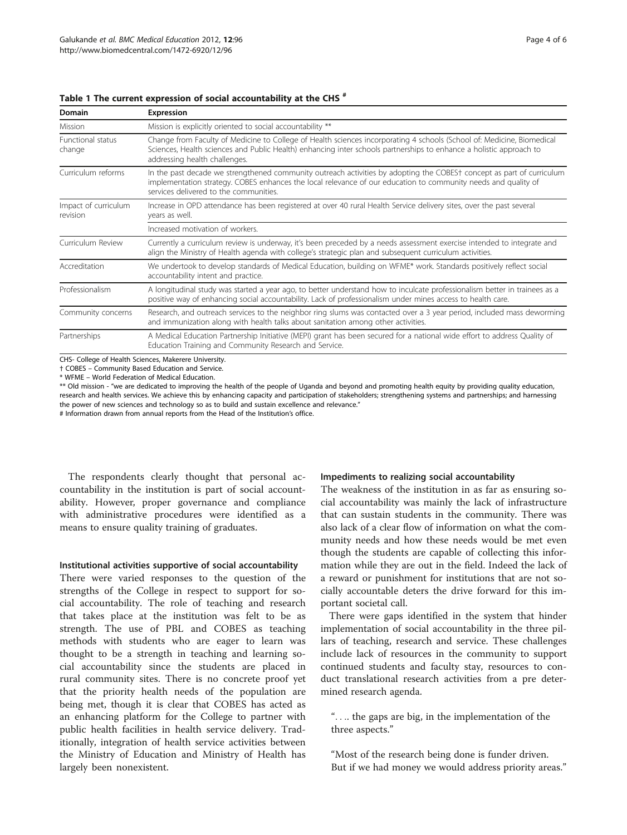| Domain                           | Expression                                                                                                                                                                                                                                                                        |
|----------------------------------|-----------------------------------------------------------------------------------------------------------------------------------------------------------------------------------------------------------------------------------------------------------------------------------|
| Mission                          | Mission is explicitly oriented to social accountability **                                                                                                                                                                                                                        |
| Functional status<br>change      | Change from Faculty of Medicine to College of Health sciences incorporating 4 schools (School of: Medicine, Biomedical<br>Sciences, Health sciences and Public Health) enhancing inter schools partnerships to enhance a holistic approach to<br>addressing health challenges.    |
| Curriculum reforms               | In the past decade we strengthened community outreach activities by adopting the COBES† concept as part of curriculum<br>implementation strategy. COBES enhances the local relevance of our education to community needs and quality of<br>services delivered to the communities. |
| Impact of curriculum<br>revision | Increase in OPD attendance has been registered at over 40 rural Health Service delivery sites, over the past several<br>years as well.                                                                                                                                            |
|                                  | Increased motivation of workers.                                                                                                                                                                                                                                                  |
| Curriculum Review                | Currently a curriculum review is underway, it's been preceded by a needs assessment exercise intended to integrate and<br>align the Ministry of Health agenda with college's strategic plan and subsequent curriculum activities.                                                 |
| Accreditation                    | We undertook to develop standards of Medical Education, building on WFME* work. Standards positively reflect social<br>accountability intent and practice.                                                                                                                        |
| Professionalism                  | A longitudinal study was started a year ago, to better understand how to inculcate professionalism better in trainees as a<br>positive way of enhancing social accountability. Lack of professionalism under mines access to health care.                                         |
| Community concerns               | Research, and outreach services to the neighbor ring slums was contacted over a 3 year period, included mass deworming<br>and immunization along with health talks about sanitation among other activities.                                                                       |
| Partnerships                     | A Medical Education Partnership Initiative (MEPI) grant has been secured for a national wide effort to address Quality of<br>Education Training and Community Research and Service.                                                                                               |

<span id="page-3-0"></span>Table 1 The current expression of social accountability at the CHS<sup>#</sup>

CHS- College of Health Sciences, Makerere University.

† COBES – Community Based Education and Service.

\* WFME – World Federation of Medical Education.

\*\* Old mission - "we are dedicated to improving the health of the people of Uganda and beyond and promoting health equity by providing quality education, research and health services. We achieve this by enhancing capacity and participation of stakeholders; strengthening systems and partnerships; and harnessing the power of new sciences and technology so as to build and sustain excellence and relevance."

# Information drawn from annual reports from the Head of the Institution's office.

The respondents clearly thought that personal accountability in the institution is part of social accountability. However, proper governance and compliance with administrative procedures were identified as a means to ensure quality training of graduates.

#### Institutional activities supportive of social accountability

There were varied responses to the question of the strengths of the College in respect to support for social accountability. The role of teaching and research that takes place at the institution was felt to be as strength. The use of PBL and COBES as teaching methods with students who are eager to learn was thought to be a strength in teaching and learning social accountability since the students are placed in rural community sites. There is no concrete proof yet that the priority health needs of the population are being met, though it is clear that COBES has acted as an enhancing platform for the College to partner with public health facilities in health service delivery. Traditionally, integration of health service activities between the Ministry of Education and Ministry of Health has largely been nonexistent.

#### Impediments to realizing social accountability

The weakness of the institution in as far as ensuring social accountability was mainly the lack of infrastructure that can sustain students in the community. There was also lack of a clear flow of information on what the community needs and how these needs would be met even though the students are capable of collecting this information while they are out in the field. Indeed the lack of a reward or punishment for institutions that are not socially accountable deters the drive forward for this important societal call.

There were gaps identified in the system that hinder implementation of social accountability in the three pillars of teaching, research and service. These challenges include lack of resources in the community to support continued students and faculty stay, resources to conduct translational research activities from a pre determined research agenda.

".... the gaps are big, in the implementation of the three aspects."

"Most of the research being done is funder driven. But if we had money we would address priority areas."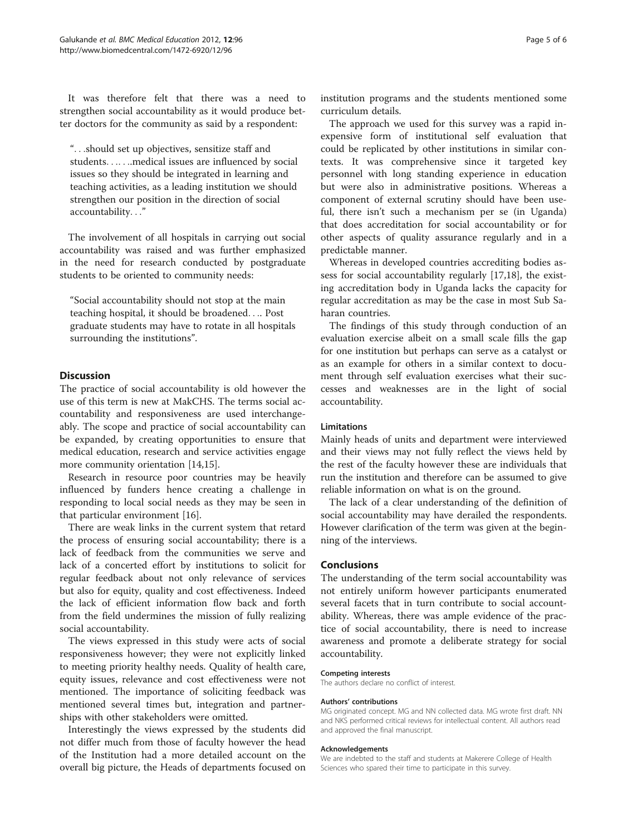It was therefore felt that there was a need to strengthen social accountability as it would produce better doctors for the community as said by a respondent:

"...should set up objectives, sensitize staff and students. . .. . ..medical issues are influenced by social issues so they should be integrated in learning and teaching activities, as a leading institution we should strengthen our position in the direction of social accountability..."

The involvement of all hospitals in carrying out social accountability was raised and was further emphasized in the need for research conducted by postgraduate students to be oriented to community needs:

"Social accountability should not stop at the main teaching hospital, it should be broadened.... Post graduate students may have to rotate in all hospitals surrounding the institutions".

#### **Discussion**

The practice of social accountability is old however the use of this term is new at MakCHS. The terms social accountability and responsiveness are used interchangeably. The scope and practice of social accountability can be expanded, by creating opportunities to ensure that medical education, research and service activities engage more community orientation [[14,15\]](#page-5-0).

Research in resource poor countries may be heavily influenced by funders hence creating a challenge in responding to local social needs as they may be seen in that particular environment [\[16](#page-5-0)].

There are weak links in the current system that retard the process of ensuring social accountability; there is a lack of feedback from the communities we serve and lack of a concerted effort by institutions to solicit for regular feedback about not only relevance of services but also for equity, quality and cost effectiveness. Indeed the lack of efficient information flow back and forth from the field undermines the mission of fully realizing social accountability.

The views expressed in this study were acts of social responsiveness however; they were not explicitly linked to meeting priority healthy needs. Quality of health care, equity issues, relevance and cost effectiveness were not mentioned. The importance of soliciting feedback was mentioned several times but, integration and partnerships with other stakeholders were omitted.

Interestingly the views expressed by the students did not differ much from those of faculty however the head of the Institution had a more detailed account on the overall big picture, the Heads of departments focused on

institution programs and the students mentioned some curriculum details.

The approach we used for this survey was a rapid inexpensive form of institutional self evaluation that could be replicated by other institutions in similar contexts. It was comprehensive since it targeted key personnel with long standing experience in education but were also in administrative positions. Whereas a component of external scrutiny should have been useful, there isn't such a mechanism per se (in Uganda) that does accreditation for social accountability or for other aspects of quality assurance regularly and in a predictable manner.

Whereas in developed countries accrediting bodies assess for social accountability regularly [\[17,18\]](#page-5-0), the existing accreditation body in Uganda lacks the capacity for regular accreditation as may be the case in most Sub Saharan countries.

The findings of this study through conduction of an evaluation exercise albeit on a small scale fills the gap for one institution but perhaps can serve as a catalyst or as an example for others in a similar context to document through self evaluation exercises what their successes and weaknesses are in the light of social accountability.

#### Limitations

Mainly heads of units and department were interviewed and their views may not fully reflect the views held by the rest of the faculty however these are individuals that run the institution and therefore can be assumed to give reliable information on what is on the ground.

The lack of a clear understanding of the definition of social accountability may have derailed the respondents. However clarification of the term was given at the beginning of the interviews.

#### Conclusions

The understanding of the term social accountability was not entirely uniform however participants enumerated several facets that in turn contribute to social accountability. Whereas, there was ample evidence of the practice of social accountability, there is need to increase awareness and promote a deliberate strategy for social accountability.

#### Competing interests

The authors declare no conflict of interest.

#### Authors' contributions

MG originated concept. MG and NN collected data. MG wrote first draft. NN and NKS performed critical reviews for intellectual content. All authors read and approved the final manuscript.

#### Acknowledgements

We are indebted to the staff and students at Makerere College of Health Sciences who spared their time to participate in this survey.